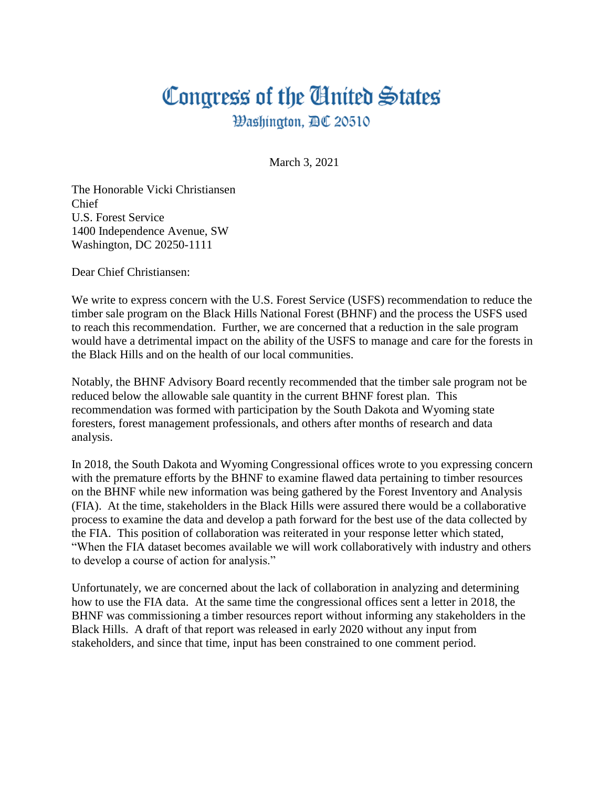## Congress of the Ginited States

**Washington, AC 20510** 

March 3, 2021

The Honorable Vicki Christiansen Chief U.S. Forest Service 1400 Independence Avenue, SW Washington, DC 20250-1111

Dear Chief Christiansen:

We write to express concern with the U.S. Forest Service (USFS) recommendation to reduce the timber sale program on the Black Hills National Forest (BHNF) and the process the USFS used to reach this recommendation. Further, we are concerned that a reduction in the sale program would have a detrimental impact on the ability of the USFS to manage and care for the forests in the Black Hills and on the health of our local communities.

Notably, the BHNF Advisory Board recently recommended that the timber sale program not be reduced below the allowable sale quantity in the current BHNF forest plan. This recommendation was formed with participation by the South Dakota and Wyoming state foresters, forest management professionals, and others after months of research and data analysis.

In 2018, the South Dakota and Wyoming Congressional offices wrote to you expressing concern with the premature efforts by the BHNF to examine flawed data pertaining to timber resources on the BHNF while new information was being gathered by the Forest Inventory and Analysis (FIA). At the time, stakeholders in the Black Hills were assured there would be a collaborative process to examine the data and develop a path forward for the best use of the data collected by the FIA. This position of collaboration was reiterated in your response letter which stated, "When the FIA dataset becomes available we will work collaboratively with industry and others to develop a course of action for analysis."

Unfortunately, we are concerned about the lack of collaboration in analyzing and determining how to use the FIA data. At the same time the congressional offices sent a letter in 2018, the BHNF was commissioning a timber resources report without informing any stakeholders in the Black Hills. A draft of that report was released in early 2020 without any input from stakeholders, and since that time, input has been constrained to one comment period.